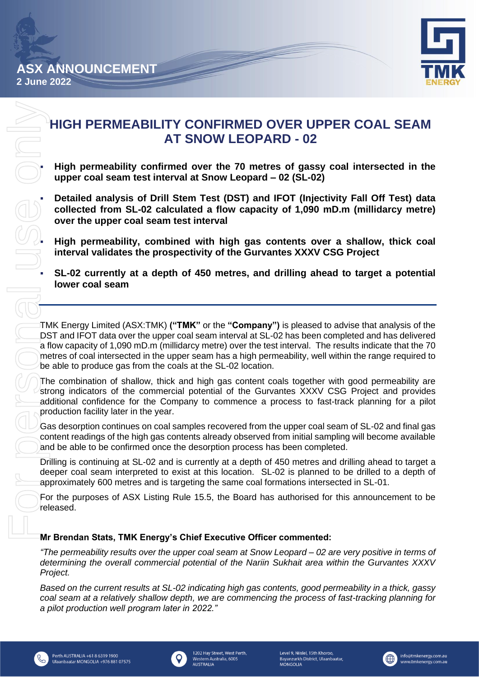

# **HIGH PERMEABILITY CONFIRMED OVER UPPER COAL SEAM AT SNOW LEOPARD - 02**

▪ **High permeability confirmed over the 70 metres of gassy coal intersected in the upper coal seam test interval at Snow Leopard – 02 (SL-02)**

▪ **Detailed analysis of Drill Stem Test (DST) and IFOT (Injectivity Fall Off Test) data collected from SL-02 calculated a flow capacity of 1,090 mD.m (millidarcy metre) over the upper coal seam test interval**

▪ **High permeability, combined with high gas contents over a shallow, thick coal interval validates the prospectivity of the Gurvantes XXXV CSG Project**

▪ **SL-02 currently at a depth of 450 metres, and drilling ahead to target a potential lower coal seam**

TMK Energy Limited (ASX:TMK) **("TMK"** or the **"Company")** is pleased to advise that analysis of the DST and IFOT data over the upper coal seam interval at SL-02 has been completed and has delivered a flow capacity of 1,090 mD.m (millidarcy metre) over the test interval. The results indicate that the 70 metres of coal intersected in the upper seam has a high permeability, well within the range required to be able to produce gas from the coals at the SL-02 location.

The combination of shallow, thick and high gas content coals together with good permeability are strong indicators of the commercial potential of the Gurvantes XXXV CSG Project and provides additional confidence for the Company to commence a process to fast-track planning for a pilot production facility later in the year.

Gas desorption continues on coal samples recovered from the upper coal seam of SL-02 and final gas content readings of the high gas contents already observed from initial sampling will become available and be able to be confirmed once the desorption process has been completed.

Drilling is continuing at SL-02 and is currently at a depth of 450 metres and drilling ahead to target a deeper coal seam interpreted to exist at this location. SL-02 is planned to be drilled to a depth of approximately 600 metres and is targeting the same coal formations intersected in SL-01.

For the purposes of ASX Listing Rule 15.5, the Board has authorised for this announcement to be released.

# **Mr Brendan Stats, TMK Energy's Chief Executive Officer commented:**

*"The permeability results over the upper coal seam at Snow Leopard – 02 are very positive in terms of determining the overall commercial potential of the Nariin Sukhait area within the Gurvantes XXXV Project.*

*Based on the current results at SL-02 indicating high gas contents, good permeability in a thick, gassy coal seam at a relatively shallow depth, we are commencing the process of fast-tracking planning for a pilot production well program later in 2022."*